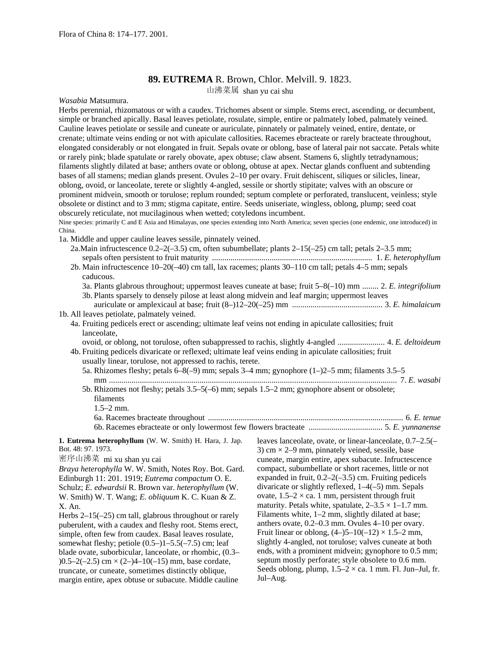## **89. EUTREMA** R. Brown, Chlor. Melvill. 9. 1823.

山沸菜属 shan yu cai shu

*Wasabia* Matsumura.

Herbs perennial, rhizomatous or with a caudex. Trichomes absent or simple. Stems erect, ascending, or decumbent, simple or branched apically. Basal leaves petiolate, rosulate, simple, entire or palmately lobed, palmately veined. Cauline leaves petiolate or sessile and cuneate or auriculate, pinnately or palmately veined, entire, dentate, or crenate; ultimate veins ending or not with apiculate callosities. Racemes ebracteate or rarely bracteate throughout, elongated considerably or not elongated in fruit. Sepals ovate or oblong, base of lateral pair not saccate. Petals white or rarely pink; blade spatulate or rarely obovate, apex obtuse; claw absent. Stamens 6, slightly tetradynamous; filaments slightly dilated at base; anthers ovate or oblong, obtuse at apex. Nectar glands confluent and subtending bases of all stamens; median glands present. Ovules 2–10 per ovary. Fruit dehiscent, siliques or silicles, linear, oblong, ovoid, or lanceolate, terete or slightly 4-angled, sessile or shortly stipitate; valves with an obscure or prominent midvein, smooth or torulose; replum rounded; septum complete or perforated, translucent, veinless; style obsolete or distinct and to 3 mm; stigma capitate, entire. Seeds uniseriate, wingless, oblong, plump; seed coat obscurely reticulate, not mucilaginous when wetted; cotyledons incumbent.

Nine species: primarily C and E Asia and Himalayas, one species extending into North America; seven species (one endemic, one introduced) in China.

- 1a. Middle and upper cauline leaves sessile, pinnately veined.
	- 2a.Main infructescence  $0.2-2(-3.5)$  cm, often subumbellate; plants  $2-15(-25)$  cm tall; petals  $2-3.5$  mm; sepals often persistent to fruit maturity .............................................................................. 1. *E. heterophyllum*
	- 2b. Main infructescence 10–20(–40) cm tall, lax racemes; plants 30–110 cm tall; petals 4–5 mm; sepals caducous. 3a. Plants glabrous throughout; uppermost leaves cuneate at base; fruit 5–8(–10) mm ........ 2. *E. integrifolium* 3b. Plants sparsely to densely pilose at least along midvein and leaf margin; uppermost leaves
- auriculate or amplexicaul at base; fruit (8–)12–20(–25) mm ............................................ 3. *E. himalaicum* 1b. All leaves petiolate, palmately veined.
	- 4a. Fruiting pedicels erect or ascending; ultimate leaf veins not ending in apiculate callosities; fruit lanceolate,
	- ovoid, or oblong, not torulose, often subappressed to rachis, slightly 4-angled ....................... 4. *E. deltoideum* 4b. Fruiting pedicels divaricate or reflexed; ultimate leaf veins ending in apiculate callosities; fruit

usually linear, torulose, not appressed to rachis, terete.

5a. Rhizomes fleshy; petals  $6-8(-9)$  mm; sepals  $3-4$  mm; gynophore  $(1-2-5)$  mm; filaments  $3.5-5$ mm ............................................................................................................................................ 7. *E. wasabi* 5b. Rhizomes not fleshy; petals 3.5–5(–6) mm; sepals 1.5–2 mm; gynophore absent or obsolete;

filaments 1.5–2 mm. 6a. Racemes bracteate throughout ............................................................................................... 6. *E. tenue* 6b. Racemes ebracteate or only lowermost few flowers bracteate .................................... 5. *E. yunnanense*

**1. Eutrema heterophyllum** (W. W. Smith) H. Hara, J. Jap. Bot. 48: 97. 1973.

```
密序山沸菜 mi xu shan yu cai
```
*Braya heterophylla* W. W. Smith, Notes Roy. Bot. Gard. Edinburgh 11: 201. 1919; *Eutrema compactum* O. E. Schulz; *E. edwardsii* R. Brown var. *heterophyllum* (W. W. Smith) W. T. Wang; *E. obliquum* K. C. Kuan & Z. X. An.

Herbs 2–15(–25) cm tall, glabrous throughout or rarely puberulent, with a caudex and fleshy root. Stems erect, simple, often few from caudex. Basal leaves rosulate, somewhat fleshy; petiole  $(0.5-)1-5.5(-7.5)$  cm; leaf blade ovate, suborbicular, lanceolate, or rhombic, (0.3–  $(0.5-2(-2.5)$  cm  $\times$   $(2-4-10(-15)$  mm, base cordate, truncate, or cuneate, sometimes distinctly oblique, margin entire, apex obtuse or subacute. Middle cauline leaves lanceolate, ovate, or linear-lanceolate, 0.7–2.5(– 3) cm  $\times$  2–9 mm, pinnately veined, sessile, base cuneate, margin entire, apex subacute. Infructescence compact, subumbellate or short racemes, little or not expanded in fruit,  $0.2-2(-3.5)$  cm. Fruiting pedicels divaricate or slightly reflexed, 1–4(–5) mm. Sepals ovate,  $1.5-2 \times$  ca. 1 mm, persistent through fruit maturity. Petals white, spatulate,  $2-3.5 \times 1-1.7$  mm. Filaments white, 1–2 mm, slightly dilated at base; anthers ovate, 0.2–0.3 mm. Ovules 4–10 per ovary. Fruit linear or oblong,  $(4-)5-10(-12) \times 1.5-2$  mm, slightly 4-angled, not torulose; valves cuneate at both ends, with a prominent midvein; gynophore to 0.5 mm; septum mostly perforate; style obsolete to 0.6 mm. Seeds oblong, plump,  $1.5-2 \times$  ca. 1 mm. Fl. Jun–Jul, fr. Jul–Aug.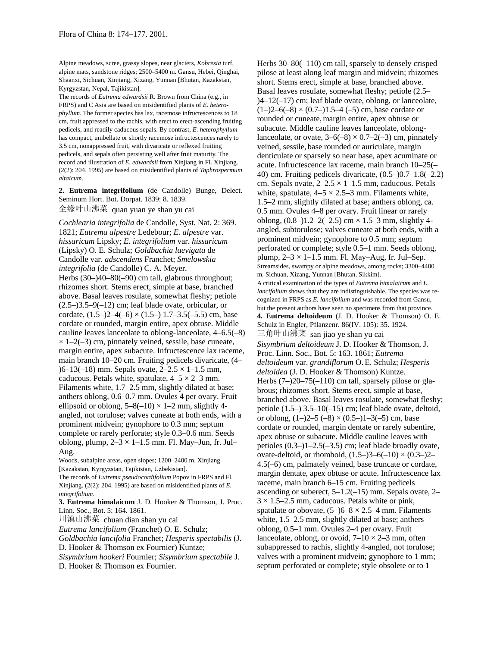Alpine meadows, scree, grassy slopes, near glaciers, *Kobresia* turf, alpine mats, sandstone ridges; 2500–5400 m. Gansu, Hebei, Qinghai, Shaanxi, Sichuan, Xinjiang, Xizang, Yunnan [Bhutan, Kazakstan, Kyrgyzstan, Nepal, Tajikistan].

The records of *Eutrema edwardsii* R. Brown from China (e.g., in FRPS) and C Asia are based on misidentified plants of *E. heterophyllum*. The former species has lax, racemose infructescences to 18 cm, fruit appressed to the rachis, with erect to erect-ascending fruiting pedicels, and readily caducous sepals. By contrast, *E. heterophyllum* has compact, umbellate or shortly racemose infructescences rarely to 3.5 cm, nonappressed fruit, with divaricate or reflexed fruiting pedicels, and sepals often persisting well after fruit maturity. The record and illustration of *E. edwardsii* from Xinjiang in Fl. Xinjiang. (2(2): 204. 1995) are based on misidentified plants of *Taphrospermum altaicum*.

**2. Eutrema integrifolium** (de Candolle) Bunge, Delect. Seminum Hort. Bot. Dorpat. 1839: 8. 1839. 全缘叶山沸菜 quan yuan ye shan yu cai

*Cochlearia integrifolia* de Candolle, Syst. Nat. 2: 369. 1821; *Eutrema alpestre* Ledebour; *E. alpestre* var. *hissaricum* Lipsky; *E. integrifolium* var. *hissaricum* (Lipsky) O. E. Schulz; *Goldbachia laevigata* de Candolle var. *adscendens* Franchet; *Smelowskia integrifolia* (de Candolle) C. A. Meyer. Herbs (30–)40–80(–90) cm tall, glabrous throughout; rhizomes short. Stems erect, simple at base, branched above. Basal leaves rosulate, somewhat fleshy; petiole  $(2.5-)3.5-9(-12)$  cm; leaf blade ovate, orbicular, or cordate,  $(1.5-2-4(-6) \times (1.5-1) 1.7-3.5(-5.5)$  cm, base cordate or rounded, margin entire, apex obtuse. Middle cauline leaves lanceolate to oblong-lanceolate, 4–6.5(–8)  $\times$  1–2(–3) cm, pinnately veined, sessile, base cuneate, margin entire, apex subacute. Infructescence lax raceme, main branch 10–20 cm. Fruiting pedicels divaricate, (4–  $(6-13(-18)$  mm. Sepals ovate,  $2-2.5 \times 1-1.5$  mm, caducous. Petals white, spatulate,  $4-5 \times 2-3$  mm. Filaments white, 1.7–2.5 mm, slightly dilated at base; anthers oblong, 0.6–0.7 mm. Ovules 4 per ovary. Fruit ellipsoid or oblong,  $5-8(-10) \times 1-2$  mm, slightly 4angled, not torulose; valves cuneate at both ends, with a prominent midvein; gynophore to 0.3 mm; septum complete or rarely perforate; style 0.3–0.6 mm. Seeds oblong, plump,  $2-3 \times 1-1.5$  mm. Fl. May-Jun, fr. Jul-Aug.

Woods, subalpine areas, open slopes; 1200–2400 m. Xinjiang [Kazakstan, Kyrgyzstan, Tajikistan, Uzbekistan]. The records of *Eutrema pseudocordifolium* Popov in FRPS and Fl. Xinjiang. (2(2): 204. 1995) are based on misidentified plants of *E. integrifolium*.

**3. Eutrema himalaicum** J. D. Hooker & Thomson, J. Proc. Linn. Soc., Bot. 5: 164. 1861.

川滇山沸菜 chuan dian shan yu cai

*Eutrema lancifolium* (Franchet) O. E. Schulz;

*Goldbachia lancifolia* Franchet; *Hesperis spectabilis* (J. D. Hooker & Thomson ex Fournier) Kuntze;

*Sisymbrium hookeri* Fournier; *Sisymbrium spectabile* J. D. Hooker & Thomson ex Fournier.

Herbs 30–80(–110) cm tall, sparsely to densely crisped pilose at least along leaf margin and midvein; rhizomes short. Stems erect, simple at base, branched above. Basal leaves rosulate, somewhat fleshy; petiole (2.5– )4–12(–17) cm; leaf blade ovate, oblong, or lanceolate,  $(1–)2–6(-8) \times (0.7–)1.5–4$  (–5) cm, base cordate or rounded or cuneate,margin entire, apex obtuse or subacute. Middle cauline leaves lanceolate, oblonglanceolate, or ovate,  $3-6(-8) \times 0.7-2(-3)$  cm, pinnately veined, sessile, base rounded or auriculate, margin denticulate or sparsely so near base, apex acuminate or acute. Infructescence lax raceme, main branch 10–25(– 40) cm. Fruiting pedicels divaricate, (0.5–)0.7–1.8(–2.2) cm. Sepals ovate,  $2-2.5 \times 1-1.5$  mm, caducous. Petals white, spatulate,  $4-5 \times 2.5-3$  mm. Filaments white, 1.5–2 mm, slightly dilated at base; anthers oblong, ca. 0.5 mm. Ovules 4–8 per ovary. Fruit linear or rarely oblong,  $(0.8-)1.2-2(-2.5)$  cm  $\times$  1.5-3 mm, slightly 4angled, subtorulose; valves cuneate at both ends, with a prominent midvein; gynophore to 0.5 mm; septum perforated or complete; style 0.5–1 mm. Seeds oblong, plump,  $2-3 \times 1-1.5$  mm. Fl. May-Aug, fr. Jul–Sep. Streamsides, swampy or alpine meadows, among rocks; 3300–4400 m. Sichuan, Xizang, Yunnan [Bhutan, Sikkim]. A critical examination of the types of *Eutrema himalaicum* and *E. lancifolium* shows that they are indistinguishable. The species was recognized in FRPS as *E. lancifolium* and was recorded from Gansu, but the present authors have seen no specimens from that province. **4. Eutrema deltoideum** (J. D. Hooker & Thomson) O. E. Schulz in Engler, Pflanzenr. 86(IV. 105): 35. 1924. 三角叶山沸菜 san jiao ye shan yu cai *Sisymbrium deltoideum* J. D. Hooker & Thomson, J. Proc. Linn. Soc., Bot. 5: 163. 1861; *Eutrema deltoideum* var. *grandiflorum* O.E. Schulz; *Hesperis deltoidea* (J. D. Hooker & Thomson) Kuntze. Herbs  $(7-)20-75(-110)$  cm tall, sparsely pilose or glabrous; rhizomes short. Stems erect, simple at base, branched above. Basal leaves rosulate, somewhat fleshy; petiole (1.5–) 3.5–10(–15) cm; leaf blade ovate, deltoid, or oblong,  $(1-2-5(-8) \times (0.5-1)-3(-5)$  cm, base cordate or rounded, margin dentate or rarely subentire, apex obtuse or subacute. Middle cauline leaves with petioles  $(0.3-11-2.5(-3.5))$  cm; leaf blade broadly ovate, ovate-deltoid, or rhomboid,  $(1.5-3-6(-10) \times (0.3-2)$ 4.5(–6) cm, palmately veined, base truncate or cordate, margin dentate, apex obtuse or acute. Infructescence lax raceme, main branch 6–15 cm. Fruiting pedicels ascending or suberect,  $5-1.2(-15)$  mm. Sepals ovate, 2- $3 \times 1.5$ –2.5 mm, caducous. Petals white or pink, spatulate or obovate,  $(5–)6–8 \times 2.5–4$  mm. Filaments white, 1.5–2.5 mm, slightly dilated at base; anthers oblong, 0.5–1 mm. Ovules 2–4 per ovary. Fruit lanceolate, oblong, or ovoid,  $7-10 \times 2-3$  mm, often subappressed to rachis, slightly 4-angled, not torulose; valves with a prominent midvein; gynophore to 1 mm; septum perforated or complete; style obsolete or to 1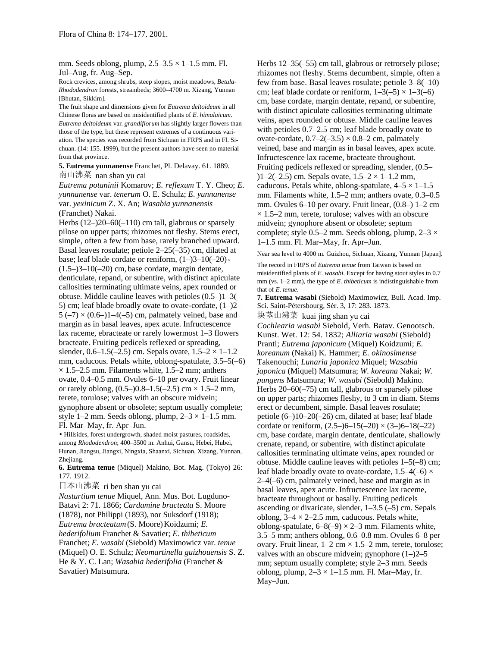mm. Seeds oblong, plump,  $2.5-3.5 \times 1-1.5$  mm. Fl. Jul–Aug, fr. Aug–Sep.

Rock crevices, among shrubs, steep slopes, moist meadows, *Betula-Rhododendron* forests, streambeds; 3600–4700 m. Xizang, Yunnan [Bhutan, Sikkim].

The fruit shape and dimensions given for *Eutrema deltoideum* in all Chinese floras are based on misidentified plants of *E. himalaicum*. *Eutrema deltoideum* var. *grandiflorum* has slightly larger flowers than those of the type, but these represent extremes of a continuous variation. The species was recorded from Sichuan in FRPS and in Fl. Sichuan. (14: 155. 1999), but the present authors have seen no material from that province.

**5. Eutrema yunnanense** Franchet, Pl. Delavay. 61. 1889. 南山沸菜 nan shan yu cai

*Eutrema potaninii* Komarov; *E. reflexum* T. Y. Cheo; *E. yunnanense* var. *tenerum* O. E. Schulz; *E. yunnanense* var. *yexinicum* Z. X. An; *Wasabia yunnanensis* (Franchet) Nakai.

Herbs  $(12-)20-60(-110)$  cm tall, glabrous or sparsely pilose on upper parts; rhizomes not fleshy. Stems erect, simple, often a few from base, rarely branched upward. Basal leaves rosulate; petiole 2–25(–35) cm, dilated at base; leaf blade cordate or reniform,  $(1-3-10(-20) \times$  $(1.5-3-10(-20)$  cm, base cordate, margin dentate, denticulate, repand, or subentire, with distinct apiculate callosities terminating ultimate veins, apex rounded or obtuse. Middle cauline leaves with petioles (0.5–)1–3(– 5) cm; leaf blade broadly ovate to ovate-cordate,  $(1-2)$  $5 (-7) \times (0.6 - 1 - 4(-5) \text{ cm}$ , palmately veined, base and margin as in basal leaves, apex acute. Infructescence lax raceme, ebracteate or rarely lowermost 1–3 flowers bracteate. Fruiting pedicels reflexed or spreading, slender, 0.6–1.5(–2.5) cm. Sepals ovate,  $1.5-2 \times 1-1.2$ mm, caducous. Petals white, oblong-spatulate, 3.5–5(–6)  $\times$  1.5–2.5 mm. Filaments white, 1.5–2 mm; anthers ovate, 0.4–0.5 mm. Ovules 6–10 per ovary. Fruit linear or rarely oblong,  $(0.5-)0.8-1.5(-2.5)$  cm  $\times$  1.5–2 mm, terete, torulose; valves with an obscure midvein; gynophore absent or obsolete; septum usually complete; style 1–2 mm. Seeds oblong, plump,  $2-3 \times 1-1.5$  mm. Fl. Mar–May, fr. Apr–Jun.

• Hillsides, forest undergrowth, shaded moist pastures, roadsides, among *Rhododendron*; 400–3500 m. Anhui, Gansu, Hebei, Hubei, Hunan, Jiangsu, Jiangxi, Ningxia, Shaanxi, Sichuan, Xizang, Yunnan, Zhejiang.

**6. Eutrema tenue** (Miquel) Makino, Bot. Mag. (Tokyo) 26: 177. 1912.

日本山沸菜 ri ben shan yu cai

*Nasturtium tenue* Miquel, Ann. Mus. Bot. Lugduno-Batavi 2: 71. 1866; *Cardamine bracteata* S. Moore (1878), not Philippi (1893), nor Suksdorf (1918); *Eutrema bracteatum*(S. Moore)Koidzumi; *E. hederifolium* Franchet & Savatier; *E. thibeticum* Franchet; *E. wasabi* (Siebold) Maximowicz var. *tenue* (Miquel) O. E. Schulz; *Neomartinella guizhouensis* S. Z. He & Y. C. Lan; *Wasabia hederifolia* (Franchet & Savatier) Matsumura.

Herbs 12–35(–55) cm tall, glabrous or retrorsely pilose; rhizomes not fleshy. Stems decumbent, simple, often a few from base. Basal leaves rosulate; petiole 3–8(–10) cm; leaf blade cordate or reniform,  $1-3(-5) \times 1-3(-6)$ cm, base cordate, margin dentate, repand, or subentire, with distinct apiculate callosities terminating ultimate veins, apex rounded or obtuse. Middle cauline leaves with petioles  $0.7-2.5$  cm; leaf blade broadly ovate to ovate-cordate,  $0.7-2(-3.5) \times 0.8-2$  cm, palmately veined, base and margin as in basal leaves, apex acute. Infructescence lax raceme, bracteate throughout. Fruiting pedicels reflexed or spreading, slender, (0.5– )1–2(–2.5) cm. Sepals ovate,  $1.5-2 \times 1-1.2$  mm, caducous. Petals white, oblong-spatulate,  $4-5 \times 1-1.5$ mm. Filaments white, 1.5–2 mm; anthers ovate, 0.3–0.5 mm. Ovules 6–10 per ovary. Fruit linear, (0.8–) 1–2 cm  $\times$  1.5–2 mm, terete, torulose; valves with an obscure midvein; gynophore absent or obsolete; septum complete; style 0.5–2 mm. Seeds oblong, plump,  $2-3 \times$ 1–1.5 mm. Fl. Mar–May, fr. Apr–Jun.

Near sea level to 4000 m. Guizhou, Sichuan, Xizang, Yunnan [Japan].

The record in FRPS of *Eutrema tenue* from Taiwan is based on misidentified plants of *E. wasabi*. Except for having stout styles to 0.7 mm (vs. 1–2 mm), the type of *E. thibeticum* is indistinguishable from that of *E. tenue*.

**7. Eutrema wasabi** (Siebold) Maximowicz, Bull. Acad. Imp. Sci. Saint-Pétersbourg, Sér. 3, 17: 283. 1873.

块茎山沸菜 kuai jing shan yu cai

*Cochlearia wasabi* Siebold, Verh. Batav. Genootsch. Kunst. Wet. 12: 54. 1832; *Alliaria wasabi* (Siebold) Prantl; *Eutrema japonicum* (Miquel) Koidzumi; *E. koreanum* (Nakai) K. Hammer; *E. okinosimense* Takenouchi; *Lunaria japonica* Miquel; *Wasabia japonica* (Miquel) Matsumura; *W. koreana* Nakai; *W. pungens* Matsumura; *W. wasabi* (Siebold) Makino. Herbs 20–60(–75) cm tall, glabrous or sparsely pilose on upper parts; rhizomes fleshy, to 3 cm in diam. Stems erect or decumbent, simple. Basal leaves rosulate; petiole (6–)10–20(–26) cm, dilated at base; leaf blade cordate or reniform,  $(2.5-6-15(-20) \times (3-6-18(-22))$ cm, base cordate, margin dentate, denticulate, shallowly crenate, repand, or subentire, with distinct apiculate callosities terminating ultimate veins, apex rounded or obtuse. Middle cauline leaves with petioles 1–5(–8) cm; leaf blade broadly ovate to ovate-cordate,  $1.5-4(-6) \times$ 2–4(–6) cm, palmately veined, base and margin as in basal leaves, apex acute. Infructescence lax raceme, bracteate throughout or basally. Fruiting pedicels ascending or divaricate, slender, 1–3.5 (–5) cm. Sepals oblong,  $3-4 \times 2-2.5$  mm, caducous. Petals white, oblong-spatulate,  $6-8(-9) \times 2-3$  mm. Filaments white, 3.5–5 mm; anthers oblong, 0.6–0.8 mm. Ovules 6–8 per ovary. Fruit linear,  $1-2$  cm  $\times$  1.5–2 mm, terete, torulose; valves with an obscure midvein; gynophore  $(1-2)2-5$ mm; septum usually complete; style 2–3 mm. Seeds oblong, plump,  $2-3 \times 1-1.5$  mm. Fl. Mar-May, fr. May–Jun.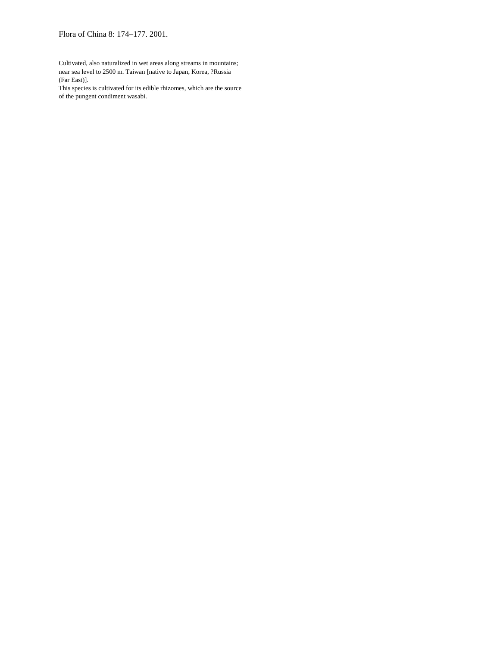Cultivated, also naturalized in wet areas along streams in mountains; near sea level to 2500 m. Taiwan [native to Japan, Korea, ?Russia (Far East)].

This species is cultivated for its edible rhizomes, which are the source of the pungent condiment wasabi.